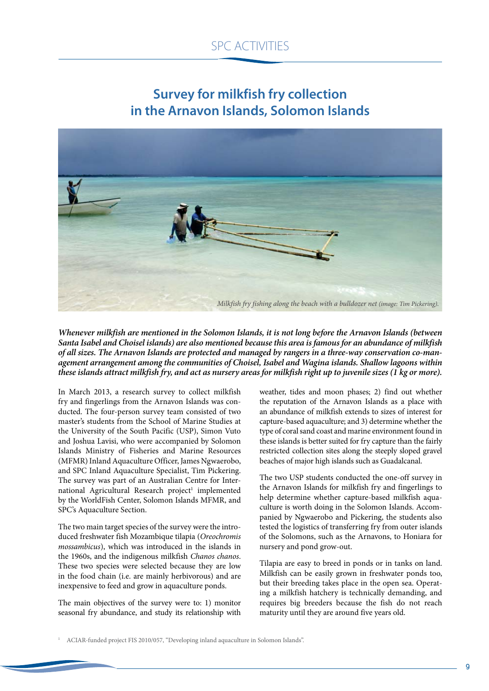## SPC ACTIVITIES

## **Survey for milkfish fry collection in the Arnavon Islands, Solomon Islands**



*Whenever milkfish are mentioned in the Solomon Islands, it is not long before the Arnavon Islands (between Santa Isabel and Choisel islands) are also mentioned because this area is famous for an abundance of milkfish of all sizes. The Arnavon Islands are protected and managed by rangers in a three-way conservation co-management arrangement among the communities of Choisel, Isabel and Wagina islands. Shallow lagoons within these islands attract milkfish fry, and act as nursery areas for milkfish right up to juvenile sizes (1 kg or more).* 

In March 2013, a research survey to collect milkfish fry and fingerlings from the Arnavon Islands was conducted. The four-person survey team consisted of two master's students from the School of Marine Studies at the University of the South Pacific (USP), Simon Vuto and Joshua Lavisi, who were accompanied by Solomon Islands Ministry of Fisheries and Marine Resources (MFMR) Inland Aquaculture Officer, James Ngwaerobo, and SPC Inland Aquaculture Specialist, Tim Pickering. The survey was part of an Australian Centre for International Agricultural Research project<sup>1</sup> implemented by the WorldFish Center, Solomon Islands MFMR, and SPC's Aquaculture Section.

The two main target species of the survey were the introduced freshwater fish Mozambique tilapia (*Oreochromis mossambicus*), which was introduced in the islands in the 1960s, and the indigenous milkfish *Chanos chanos*. These two species were selected because they are low in the food chain (i.e. are mainly herbivorous) and are inexpensive to feed and grow in aquaculture ponds.

The main objectives of the survey were to: 1) monitor seasonal fry abundance, and study its relationship with weather, tides and moon phases; 2) find out whether the reputation of the Arnavon Islands as a place with an abundance of milkfish extends to sizes of interest for capture-based aquaculture; and 3) determine whether the type of coral sand coast and marine environment found in these islands is better suited for fry capture than the fairly restricted collection sites along the steeply sloped gravel beaches of major high islands such as Guadalcanal.

The two USP students conducted the one-off survey in the Arnavon Islands for milkfish fry and fingerlings to help determine whether capture-based milkfish aquaculture is worth doing in the Solomon Islands. Accompanied by Ngwaerobo and Pickering, the students also tested the logistics of transferring fry from outer islands of the Solomons, such as the Arnavons, to Honiara for nursery and pond grow-out.

Tilapia are easy to breed in ponds or in tanks on land. Milkfish can be easily grown in freshwater ponds too, but their breeding takes place in the open sea. Operating a milkfish hatchery is technically demanding, and requires big breeders because the fish do not reach maturity until they are around five years old.

<sup>1</sup> ACIAR-funded project FIS 2010/057, "Developing inland aquaculture in Solomon Islands".